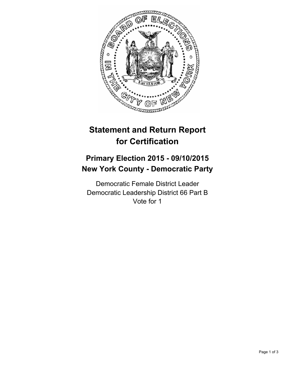

# **Statement and Return Report for Certification**

## **Primary Election 2015 - 09/10/2015 New York County - Democratic Party**

Democratic Female District Leader Democratic Leadership District 66 Part B Vote for 1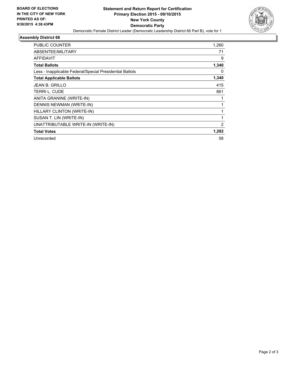

#### **Assembly District 66**

| PUBLIC COUNTER                                           | 1,260 |
|----------------------------------------------------------|-------|
| ABSENTEE/MILITARY                                        | 71    |
| <b>AFFIDAVIT</b>                                         | 9     |
| <b>Total Ballots</b>                                     | 1,340 |
| Less - Inapplicable Federal/Special Presidential Ballots | 0     |
| <b>Total Applicable Ballots</b>                          | 1,340 |
| <b>JEAN B. GRILLO</b>                                    | 415   |
| TERRI L. CUDE                                            | 861   |
| ANITA GRANINE (WRITE-IN)                                 |       |
| DENNIS NEWMAN (WRITE-IN)                                 | 1     |
| HILLARY CLINTON (WRITE-IN)                               |       |
| SUSAN T. LIN (WRITE-IN)                                  | 1     |
| UNATTRIBUTABLE WRITE-IN (WRITE-IN)                       | 2     |
| <b>Total Votes</b>                                       | 1,282 |
| Unrecorded                                               | 58    |